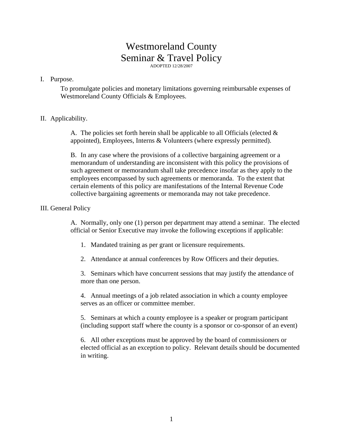# Westmoreland County Seminar & Travel Policy ADOPTED 12/28/2007

#### I. Purpose.

To promulgate policies and monetary limitations governing reimbursable expenses of Westmoreland County Officials & Employees.

#### II. Applicability.

A. The policies set forth herein shall be applicable to all Officials (elected  $\&$ appointed), Employees, Interns & Volunteers (where expressly permitted).

B. In any case where the provisions of a collective bargaining agreement or a memorandum of understanding are inconsistent with this policy the provisions of such agreement or memorandum shall take precedence insofar as they apply to the employees encompassed by such agreements or memoranda. To the extent that certain elements of this policy are manifestations of the Internal Revenue Code collective bargaining agreements or memoranda may not take precedence.

#### III. General Policy

A. Normally, only one (1) person per department may attend a seminar. The elected official or Senior Executive may invoke the following exceptions if applicable:

- 1. Mandated training as per grant or licensure requirements.
- 2. Attendance at annual conferences by Row Officers and their deputies.

3. Seminars which have concurrent sessions that may justify the attendance of more than one person.

4. Annual meetings of a job related association in which a county employee serves as an officer or committee member.

5. Seminars at which a county employee is a speaker or program participant (including support staff where the county is a sponsor or co-sponsor of an event)

6. All other exceptions must be approved by the board of commissioners or elected official as an exception to policy. Relevant details should be documented in writing.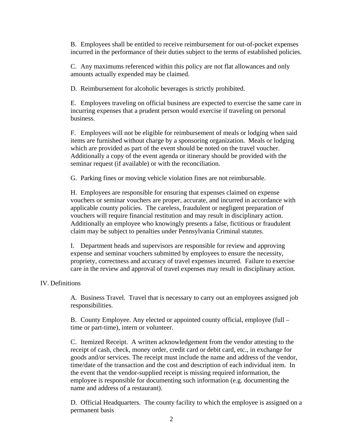B. Employees shall be entitled to receive reimbursement for out-of-pocket expenses incurred in the performance of their duties subject to the terms of established policies.

C. Any maximums referenced within this policy are not flat allowances and only amounts actually expended may be claimed.

D. Reimbursement for alcoholic beverages is strictly prohibited.

E. Employees traveling on official business are expected to exercise the same care in incurring expenses that a prudent person would exercise if traveling on personal business.

F. Employees will not be eligible for reimbursement of meals or lodging when said items are furnished without charge by a sponsoring organization. Meals or lodging which are provided as part of the event should be noted on the travel voucher. Additionally a copy of the event agenda or itinerary should be provided with the seminar request (if available) or with the reconciliation.

G. Parking fines or moving vehicle violation fines are not reimbursable.

H. Employees are responsible for ensuring that expenses claimed on expense vouchers or seminar vouchers are proper, accurate, and incurred in accordance with applicable county policies. The careless, fraudulent or negligent preparation of vouchers will require financial restitution and may result in disciplinary action. Additionally an employee who knowingly presents a false, fictitious or fraudulent claim may be subject to penalties under Pennsylvania Criminal statutes.

I. Department heads and supervisors are responsible for review and approving expense and seminar vouchers submitted by employees to ensure the necessity, propriety, correctness and accuracy of travel expenses incurred. Failure to exercise care in the review and approval of travel expenses may result in disciplinary action.

# IV. Definitions

A. Business Travel. Travel that is necessary to carry out an employees assigned job responsibilities.

B. County Employee. Any elected or appointed county official, employee (full – time or part-time), intern or volunteer.

C. Itemized Receipt. A written acknowledgement from the vendor attesting to the receipt of cash, check, money order, credit card or debit card, etc., in exchange for goods and/or services. The receipt must include the name and address of the vendor, time/date of the transaction and the cost and description of each individual item. In the event that the vendor-supplied receipt is missing required information, the employee is responsible for documenting such information (e.g. documenting the name and address of a restaurant).

D. Official Headquarters. The county facility to which the employee is assigned on a permanent basis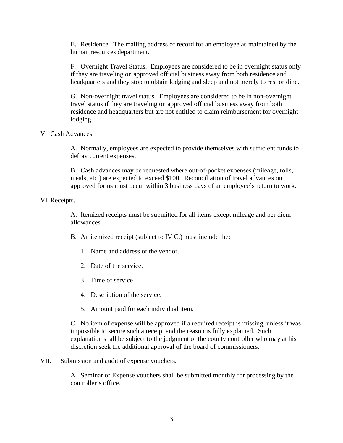E. Residence. The mailing address of record for an employee as maintained by the human resources department.

F. Overnight Travel Status. Employees are considered to be in overnight status only if they are traveling on approved official business away from both residence and headquarters and they stop to obtain lodging and sleep and not merely to rest or dine.

G. Non-overnight travel status. Employees are considered to be in non-overnight travel status if they are traveling on approved official business away from both residence and headquarters but are not entitled to claim reimbursement for overnight lodging.

#### V. Cash Advances

A. Normally, employees are expected to provide themselves with sufficient funds to defray current expenses.

B. Cash advances may be requested where out-of-pocket expenses (mileage, tolls, meals, etc.) are expected to exceed \$100. Reconciliation of travel advances on approved forms must occur within 3 business days of an employee's return to work.

#### VI. Receipts.

A. Itemized receipts must be submitted for all items except mileage and per diem allowances.

B. An itemized receipt (subject to IV C.) must include the:

- 1. Name and address of the vendor.
- 2. Date of the service.
- 3. Time of service
- 4. Description of the service.
- 5. Amount paid for each individual item.

C. No item of expense will be approved if a required receipt is missing, unless it was impossible to secure such a receipt and the reason is fully explained. Such explanation shall be subject to the judgment of the county controller who may at his discretion seek the additional approval of the board of commissioners.

# VII. Submission and audit of expense vouchers.

A. Seminar or Expense vouchers shall be submitted monthly for processing by the controller's office.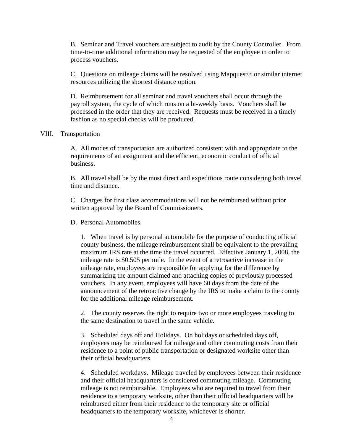B. Seminar and Travel vouchers are subject to audit by the County Controller. From time-to-time additional information may be requested of the employee in order to process vouchers.

C. Questions on mileage claims will be resolved using Mapquest® or similar internet resources utilizing the shortest distance option.

D. Reimbursement for all seminar and travel vouchers shall occur through the payroll system, the cycle of which runs on a bi-weekly basis. Vouchers shall be processed in the order that they are received. Requests must be received in a timely fashion as no special checks will be produced.

#### VIII. Transportation

A. All modes of transportation are authorized consistent with and appropriate to the requirements of an assignment and the efficient, economic conduct of official business.

B. All travel shall be by the most direct and expeditious route considering both travel time and distance.

C. Charges for first class accommodations will not be reimbursed without prior written approval by the Board of Commissioners.

D. Personal Automobiles.

1. When travel is by personal automobile for the purpose of conducting official county business, the mileage reimbursement shall be equivalent to the prevailing maximum IRS rate at the time the travel occurred. Effective January 1, 2008, the mileage rate is \$0.505 per mile. In the event of a retroactive increase in the mileage rate, employees are responsible for applying for the difference by summarizing the amount claimed and attaching copies of previously processed vouchers. In any event, employees will have 60 days from the date of the announcement of the retroactive change by the IRS to make a claim to the county for the additional mileage reimbursement.

2. The county reserves the right to require two or more employees traveling to the same destination to travel in the same vehicle.

3. Scheduled days off and Holidays. On holidays or scheduled days off, employees may be reimbursed for mileage and other commuting costs from their residence to a point of public transportation or designated worksite other than their official headquarters.

4. Scheduled workdays. Mileage traveled by employees between their residence and their official headquarters is considered commuting mileage. Commuting mileage is not reimbursable. Employees who are required to travel from their residence to a temporary worksite, other than their official headquarters will be reimbursed either from their residence to the temporary site or official headquarters to the temporary worksite, whichever is shorter.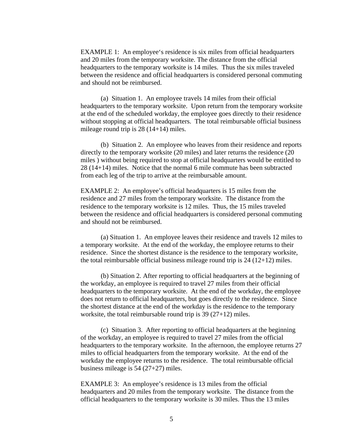EXAMPLE 1: An employee's residence is six miles from official headquarters and 20 miles from the temporary worksite. The distance from the official headquarters to the temporary worksite is 14 miles. Thus the six miles traveled between the residence and official headquarters is considered personal commuting and should not be reimbursed.

(a) Situation 1. An employee travels 14 miles from their official headquarters to the temporary worksite. Upon return from the temporary worksite at the end of the scheduled workday, the employee goes directly to their residence without stopping at official headquarters. The total reimbursable official business mileage round trip is 28 (14+14) miles.

(b) Situation 2. An employee who leaves from their residence and reports directly to the temporary worksite (20 miles) and later returns the residence (20 miles ) without being required to stop at official headquarters would be entitled to 28 (14+14) miles. Notice that the normal 6 mile commute has been subtracted from each leg of the trip to arrive at the reimbursable amount.

EXAMPLE 2: An employee's official headquarters is 15 miles from the residence and 27 miles from the temporary worksite. The distance from the residence to the temporary worksite is 12 miles. Thus, the 15 miles traveled between the residence and official headquarters is considered personal commuting and should not be reimbursed.

 (a) Situation 1. An employee leaves their residence and travels 12 miles to a temporary worksite. At the end of the workday, the employee returns to their residence. Since the shortest distance is the residence to the temporary worksite, the total reimbursable official business mileage round trip is  $24 (12+12)$  miles.

(b) Situation 2. After reporting to official headquarters at the beginning of the workday, an employee is required to travel 27 miles from their official headquarters to the temporary worksite. At the end of the workday, the employee does not return to official headquarters, but goes directly to the residence. Since the shortest distance at the end of the workday is the residence to the temporary worksite, the total reimbursable round trip is 39 (27+12) miles.

(c) Situation 3. After reporting to official headquarters at the beginning of the workday, an employee is required to travel 27 miles from the official headquarters to the temporary worksite. In the afternoon, the employee returns 27 miles to official headquarters from the temporary worksite. At the end of the workday the employee returns to the residence. The total reimbursable official business mileage is 54 (27+27) miles.

EXAMPLE 3: An employee's residence is 13 miles from the official headquarters and 20 miles from the temporary worksite. The distance from the official headquarters to the temporary worksite is 30 miles. Thus the 13 miles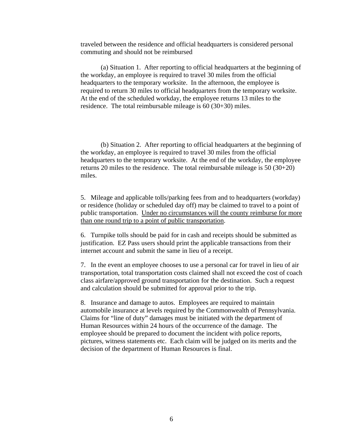traveled between the residence and official headquarters is considered personal commuting and should not be reimbursed

(a) Situation 1. After reporting to official headquarters at the beginning of the workday, an employee is required to travel 30 miles from the official headquarters to the temporary worksite. In the afternoon, the employee is required to return 30 miles to official headquarters from the temporary worksite. At the end of the scheduled workday, the employee returns 13 miles to the residence. The total reimbursable mileage is 60 (30+30) miles.

(b) Situation 2. After reporting to official headquarters at the beginning of the workday, an employee is required to travel 30 miles from the official headquarters to the temporary worksite. At the end of the workday, the employee returns 20 miles to the residence. The total reimbursable mileage is 50 (30+20) miles.

5. Mileage and applicable tolls/parking fees from and to headquarters (workday) or residence (holiday or scheduled day off) may be claimed to travel to a point of public transportation. Under no circumstances will the county reimburse for more than one round trip to a point of public transportation.

6. Turnpike tolls should be paid for in cash and receipts should be submitted as justification. EZ Pass users should print the applicable transactions from their internet account and submit the same in lieu of a receipt.

7. In the event an employee chooses to use a personal car for travel in lieu of air transportation, total transportation costs claimed shall not exceed the cost of coach class airfare/approved ground transportation for the destination. Such a request and calculation should be submitted for approval prior to the trip.

8. Insurance and damage to autos. Employees are required to maintain automobile insurance at levels required by the Commonwealth of Pennsylvania. Claims for "line of duty" damages must be initiated with the department of Human Resources within 24 hours of the occurrence of the damage. The employee should be prepared to document the incident with police reports, pictures, witness statements etc. Each claim will be judged on its merits and the decision of the department of Human Resources is final.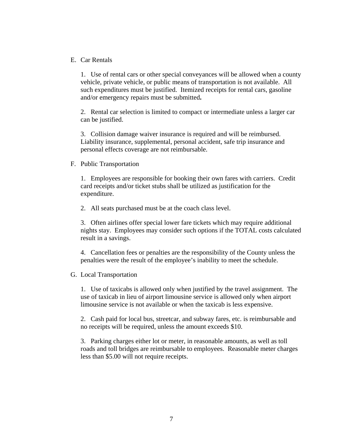E. Car Rentals

1. Use of rental cars or other special conveyances will be allowed when a county vehicle, private vehicle, or public means of transportation is not available. All such expenditures must be justified. Itemized receipts for rental cars, gasoline and/or emergency repairs must be submitted**.** 

2. Rental car selection is limited to compact or intermediate unless a larger car can be justified.

3. Collision damage waiver insurance is required and will be reimbursed. Liability insurance, supplemental, personal accident, safe trip insurance and personal effects coverage are not reimbursable.

F. Public Transportation

1. Employees are responsible for booking their own fares with carriers. Credit card receipts and/or ticket stubs shall be utilized as justification for the expenditure.

2. All seats purchased must be at the coach class level.

3. Often airlines offer special lower fare tickets which may require additional nights stay. Employees may consider such options if the TOTAL costs calculated result in a savings.

4. Cancellation fees or penalties are the responsibility of the County unless the penalties were the result of the employee's inability to meet the schedule.

#### G. Local Transportation

1. Use of taxicabs is allowed only when justified by the travel assignment. The use of taxicab in lieu of airport limousine service is allowed only when airport limousine service is not available or when the taxicab is less expensive.

2. Cash paid for local bus, streetcar, and subway fares, etc. is reimbursable and no receipts will be required, unless the amount exceeds \$10.

3. Parking charges either lot or meter, in reasonable amounts, as well as toll roads and toll bridges are reimbursable to employees. Reasonable meter charges less than \$5.00 will not require receipts.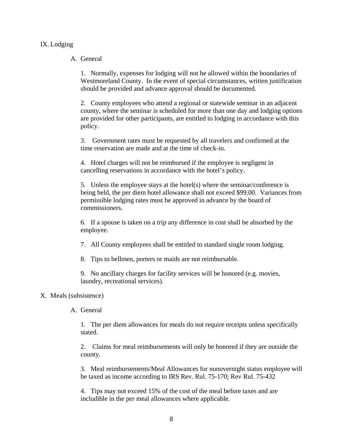# IX. Lodging

# A. General

1. Normally, expenses for lodging will not be allowed within the boundaries of Westmoreland County. In the event of special circumstances, written justification should be provided and advance approval should be documented.

2. County employees who attend a regional or statewide seminar in an adjacent county, where the seminar is scheduled for more than one day and lodging options are provided for other participants, are entitled to lodging in accordance with this policy.

3. Government rates must be requested by all travelers and confirmed at the time reservation are made and at the time of check-in.

4. Hotel charges will not be reimbursed if the employee is negligent in cancelling reservations in accordance with the hotel's policy.

5. Unless the employee stays at the hotel(s) where the seminar/conference is being held, the per diem hotel allowance shall not exceed \$99.00. Variances from permissible lodging rates must be approved in advance by the board of commissioners.

6. If a spouse is taken on a trip any difference in cost shall be absorbed by the employee.

7. All County employees shall be entitled to standard single room lodging.

8. Tips to bellmen, porters or maids are not reimbursable.

9. No ancillary charges for facility services will be honored (e.g. movies, laundry, recreational services).

# X. Meals (subsistence)

A. General

1. The per diem allowances for meals do not require receipts unless specifically stated.

2. Claims for meal reimbursements will only be honored if they are outside the county.

3. Meal reimbursements/Meal Allowances for nonovernight status employee will be taxed as income according to IRS Rev. Rul. 75-170; Rev Rul. 75-432

4. Tips may not exceed 15% of the cost of the meal before taxes and are includible in the per meal allowances where applicable.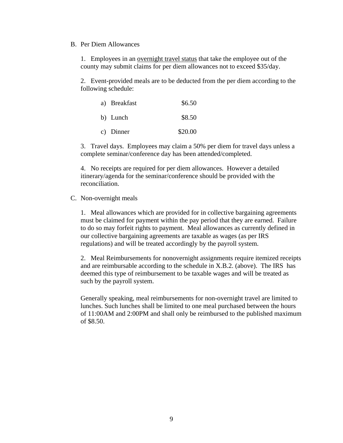#### B. Per Diem Allowances

1. Employees in an overnight travel status that take the employee out of the county may submit claims for per diem allowances not to exceed \$35/day.

2. Event-provided meals are to be deducted from the per diem according to the following schedule:

| a) Breakfast | \$6.50  |
|--------------|---------|
| b) Lunch     | \$8.50  |
| c) Dinner    | \$20.00 |

3. Travel days. Employees may claim a 50% per diem for travel days unless a complete seminar/conference day has been attended/completed.

4. No receipts are required for per diem allowances. However a detailed itinerary/agenda for the seminar/conference should be provided with the reconciliation.

# C. Non-overnight meals

1. Meal allowances which are provided for in collective bargaining agreements must be claimed for payment within the pay period that they are earned. Failure to do so may forfeit rights to payment. Meal allowances as currently defined in our collective bargaining agreements are taxable as wages (as per IRS regulations) and will be treated accordingly by the payroll system.

2. Meal Reimbursements for nonovernight assignments require itemized receipts and are reimbursable according to the schedule in X.B.2. (above). The IRS has deemed this type of reimbursement to be taxable wages and will be treated as such by the payroll system.

Generally speaking, meal reimbursements for non-overnight travel are limited to lunches. Such lunches shall be limited to one meal purchased between the hours of 11:00AM and 2:00PM and shall only be reimbursed to the published maximum of \$8.50.